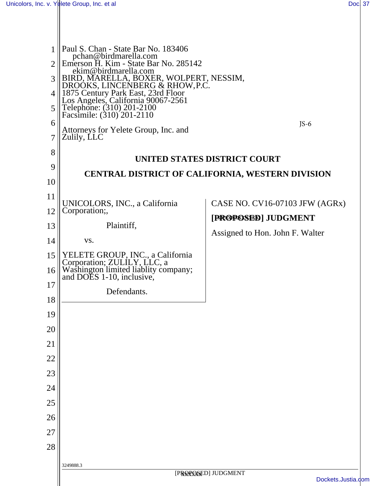$\mathsf{I}$ 

| 1<br>$\overline{2}$<br>3<br>4<br>5<br>6<br>7<br>8 | Paul S. Chan - State Bar No. 183406<br>pchan@birdmarella.com<br>Emerson H. Kim - State Bar No. 285142<br>ekim@birdmarella.com<br>BIRD, MARELLA, BOXER, WOLPERT, NESSIM,<br>DROOKS, LINCENBERG & RHOW, P.C.<br>1875 Century Park East, 23rd Floor<br>Los Angeles, California 90067-2561<br>Telephone: (310) 201-2100<br>Facsimile: (310) 201-2110<br>Attorneys for Yelete Group, Inc. and<br>Zulily, LLC | $JS-6$<br>UNITED STATES DISTRICT COURT |  |
|---------------------------------------------------|---------------------------------------------------------------------------------------------------------------------------------------------------------------------------------------------------------------------------------------------------------------------------------------------------------------------------------------------------------------------------------------------------------|----------------------------------------|--|
| 9                                                 | CENTRAL DISTRICT OF CALIFORNIA, WESTERN DIVISION                                                                                                                                                                                                                                                                                                                                                        |                                        |  |
| 10                                                |                                                                                                                                                                                                                                                                                                                                                                                                         |                                        |  |
| 11                                                | UNICOLORS, INC., a California                                                                                                                                                                                                                                                                                                                                                                           | CASE NO. CV16-07103 JFW (AGRx)         |  |
| 12                                                | Corporation;                                                                                                                                                                                                                                                                                                                                                                                            | [PROPOSED] JUDGMENT                    |  |
| 13                                                | Plaintiff,                                                                                                                                                                                                                                                                                                                                                                                              | Assigned to Hon. John F. Walter        |  |
| 14                                                | VS.                                                                                                                                                                                                                                                                                                                                                                                                     |                                        |  |
| 15                                                | YELETE GROUP, INC., a California                                                                                                                                                                                                                                                                                                                                                                        |                                        |  |
| 16                                                | Corporation; ZULÍLY, LLC, a<br>Washington limited liablity company;<br>and DOES 1-10, inclusive,                                                                                                                                                                                                                                                                                                        |                                        |  |
| 17                                                | Defendants.                                                                                                                                                                                                                                                                                                                                                                                             |                                        |  |
| 18                                                |                                                                                                                                                                                                                                                                                                                                                                                                         |                                        |  |
| 19                                                |                                                                                                                                                                                                                                                                                                                                                                                                         |                                        |  |
| 20<br>21                                          |                                                                                                                                                                                                                                                                                                                                                                                                         |                                        |  |
| 22                                                |                                                                                                                                                                                                                                                                                                                                                                                                         |                                        |  |
| 23                                                |                                                                                                                                                                                                                                                                                                                                                                                                         |                                        |  |
| 24                                                |                                                                                                                                                                                                                                                                                                                                                                                                         |                                        |  |
| 25                                                |                                                                                                                                                                                                                                                                                                                                                                                                         |                                        |  |
| 26                                                |                                                                                                                                                                                                                                                                                                                                                                                                         |                                        |  |
| 27                                                |                                                                                                                                                                                                                                                                                                                                                                                                         |                                        |  |
| 28                                                |                                                                                                                                                                                                                                                                                                                                                                                                         |                                        |  |
|                                                   | 3249888.3                                                                                                                                                                                                                                                                                                                                                                                               |                                        |  |
|                                                   | [PROPOSED] JUDGMENT<br>Dockets.Justia.com                                                                                                                                                                                                                                                                                                                                                               |                                        |  |